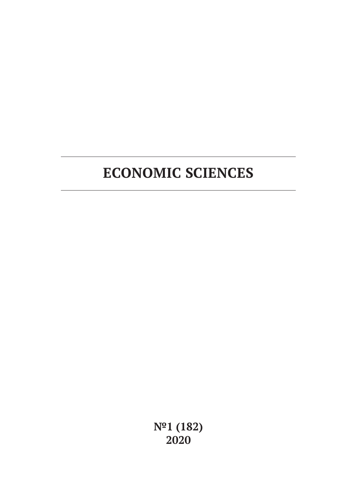# **ECONOMIC SCIENCES**

**№1 (182) 2020**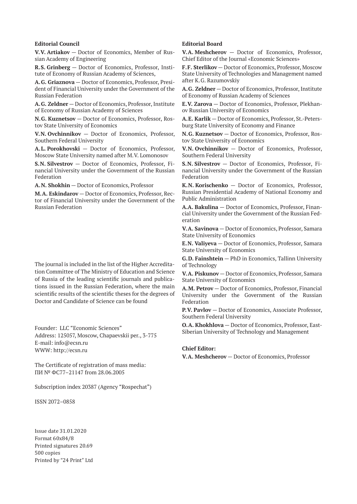#### **Editorial Council**

**V.V. Artiakov** — Doctor of Economics, Member of Russian Academy of Engineering

**R.S. Grinberg** — Doctor of Economics, Professor, Institute of Economy of Russian Academy of Sciences,

**A.G. Griaznova** — Doctor of Economics, Professor, President of Financial University under the Government of the Russian Federation

**A.G. Zeldner** — Doctor of Economics, Professor, Institute of Economy of Russian Academy of Sciences

**N.G. Kuznetsov** — Doctor of Economics, Professor, Rostov State University of Economics

**V.N. Ovchinnikov** — Doctor of Economics, Professor, Southern Federal University

**A.L. Porokhovski** — Doctor of Economics, Professor, Moscow State University named after M.V. Lomonosov

**S.N. Silvestrov** — Doctor of Economics, Professor, Financial University under the Government of the Russian Federation

**A.N. Shokhin** — Doctor of Economics, Professor

**M.A. Eskindarov** — Doctor of Economics, Professor, Rector of Financial University under the Government of the Russian Federation

The journal is included in the list of the Higher Accreditation Committee of The Ministry of Education and Science of Russia of the leading scientific journals and publications issued in the Russian Federation, where the main scientific results of the scientific theses for the degrees of Doctor and Candidate of Science can be found

Founder: LLC "Economic Sciences" Address: 125057, Moscow, Chapaevskii per., 3-775 E-mail: info@ecsn.ru WWW: http://ecsn.ru

The Certificate of registration of mass media: ПИ № ФС77–21147 from 28.06.2005

Subscription index 20387 (Agency "Rospechat")

ISSN 2072–0858

Issue date 31.01.2020 Format 60х84/8 Printed signatures 20.69 500 copies Printed by "24 Print" Ltd

#### **Editorial Board**

**V.A. Meshcherov** — Doctor of Economics, Professor, Chief Editor of the Journal «Economic Sciences»

**F.F. Sterlikov** — Doctor of Economics, Professor, Moscow State University of Technologies and Management named after K.G. Razumovskiy

**A.G. Zeldner** — Doctor of Economics, Professor, Institute of Economy of Russian Academy of Sciences

**E.V. Zarova** — Doctor of Economics, Professor, Plekhanov Russian University of Economics

**A.E. Karlik** — Doctor of Economics, Professor, St.-Petersburg State University of Economy and Finance

**N.G. Kuznetsov** — Doctor of Economics, Professor, Rostov State University of Economics

**V.N. Ovchinnikov** — Doctor of Economics, Professor, Southern Federal University

**S.N. Silvestrov** — Doctor of Economics, Professor, Financial University under the Government of the Russian Federation

**K.N. Korischenko** — Doctor of Economics, Professor, Russian Presidential Academy of National Economy and Public Administration

**A.A. Bakulina** — Doctor of Economics, Professor, Financial University under the Government of the Russian Federation

**V.A. Savinova** — Doctor of Economics, Professor, Samara State University of Economics

**E.N. Valiyeva** — Doctor of Economics, Professor, Samara State University of Economics

**G.D. Fainshtein** — PhD in Economics, Tallinn University of Technology

**V.A. Piskunov** — Doctor of Economics, Professor, Samara State University of Economics

**A.M. Petrov** — Doctor of Economics, Professor, Financial University under the Government of the Russian Federation

**P.V. Pavlov** — Doctor of Economics, Associate Professor, Southern Federal University

**O.A. Khokhlova** — Doctor of Economics, Professor, East-Siberian University of Technology and Management

#### **Chief Editor:**

**V.A. Meshcherov** — Doctor of Economics, Professor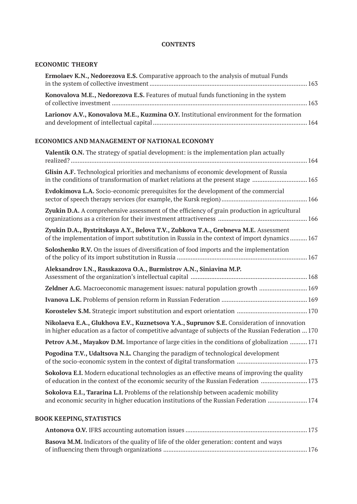# **CONTENTS**

# **ECONOMIC THEORY**

| Ermolaev K.N., Nedorezova E.S. Comparative approach to the analysis of mutual Funds                                                                                                              |
|--------------------------------------------------------------------------------------------------------------------------------------------------------------------------------------------------|
| Konovalova M.E., Nedorezova E.S. Features of mutual funds functioning in the system                                                                                                              |
| Larionov A.V., Konovalova M.E., Kuzmina O.Y. Institutional environment for the formation                                                                                                         |
| ECONOMICS AND MANAGEMENT OF NATIONAL ECONOMY                                                                                                                                                     |
| <b>Valentik O.N.</b> The strategy of spatial development: is the implementation plan actually                                                                                                    |
| Glisin A.F. Technological priorities and mechanisms of economic development of Russia<br>in the conditions of transformation of market relations at the present stage  165                       |
| <b>Evdokimova L.A.</b> Socio-economic prerequisites for the development of the commercial                                                                                                        |
| Zyukin D.A. A comprehensive assessment of the efficiency of grain production in agricultural                                                                                                     |
| Zyukin D.A., Bystritskaya A.Y., Belova T.V., Zubkova T.A., Grebneva M.E. Assessment<br>of the implementation of import substitution in Russia in the context of import dynamics  167             |
| Soloshenko R.V. On the issues of diversification of food imports and the implementation                                                                                                          |
| Aleksandrov I.N., Rasskazova O.A., Burmistrov A.N., Siniavina M.P.                                                                                                                               |
| Zeldner A.G. Macroeconomic management issues: natural population growth  169                                                                                                                     |
|                                                                                                                                                                                                  |
|                                                                                                                                                                                                  |
| Nikolaeva E.A., Glukhova E.V., Kuznetsova Y.A., Suprunov S.E. Consideration of innovation<br>in higher education as a factor of competitive advantage of subjects of the Russian Federation  170 |
| Petrov A.M., Mayakov D.M. Importance of large cities in the conditions of globalization  171                                                                                                     |
| Pogodina T.V., Udaltsova N.L. Changing the paradigm of technological development                                                                                                                 |
| Sokolova E.I. Modern educational technologies as an effective means of improving the quality<br>of education in the context of the economic security of the Russian Federation  173              |
| Sokolova E.I., Tararina L.I. Problems of the relationship between academic mobility<br>and economic security in higher education institutions of the Russian Federation  174                     |
| <b>BOOK KEEPING, STATISTICS</b>                                                                                                                                                                  |
|                                                                                                                                                                                                  |

| <b>Basova M.M.</b> Indicators of the quality of life of the older generation: content and ways |  |
|------------------------------------------------------------------------------------------------|--|
|                                                                                                |  |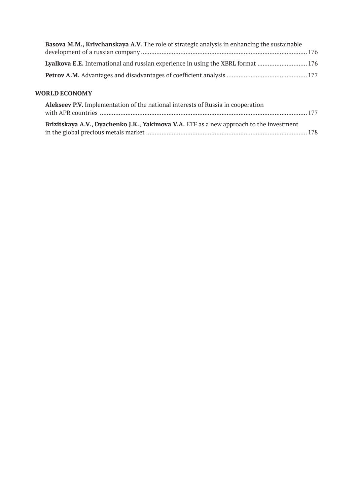| <b>Basova M.M., Krivchanskaya A.V.</b> The role of strategic analysis in enhancing the sustainable |  |
|----------------------------------------------------------------------------------------------------|--|
|                                                                                                    |  |
| Lyalkova E.E. International and russian experience in using the XBRL format  176                   |  |
|                                                                                                    |  |

# **WORLD ECONOMY**

| Alekseev P.V. Implementation of the national interests of Russia in cooperation         |  |  |
|-----------------------------------------------------------------------------------------|--|--|
|                                                                                         |  |  |
| Brizitskaya A.V., Dyachenko J.K., Yakimova V.A. ETF as a new approach to the investment |  |  |
|                                                                                         |  |  |
|                                                                                         |  |  |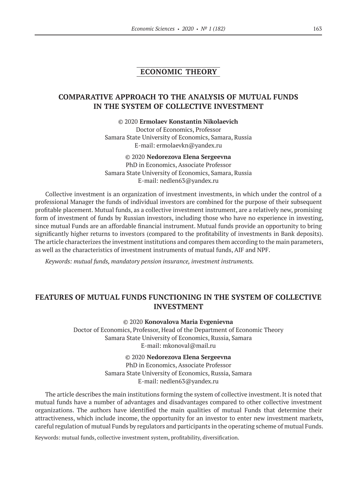# **ECONOMIC THEORY**

# **COMPARATIVE APPROACH TO THE ANALYSIS OF MUTUAL FUNDS IN THE SYSTEM OF COLLECTIVE INVESTMENT**

©© 2020 **Ermolaev Konstantin Nikolaevich** Doctor of Economics, Professor Samara State University of Economics, Samara, Russia E‑mail: ermolaevkn@yandex.ru

# ©© 2020 **Nedorezova Elena Sergeevna**

PhD in Economics, Associate Professor Samara State University of Economics, Samara, Russia E‑mail: nedlen63@yandex.ru

Collective investment is an organization of investment investments, in which under the control of a professional Manager the funds of individual investors are combined for the purpose of their subsequent profitable placement. Mutual funds, as a collective investment instrument, are a relatively new, promising form of investment of funds by Russian investors, including those who have no experience in investing, since mutual Funds are an affordable financial instrument. Mutual funds provide an opportunity to bring significantly higher returns to investors (compared to the profitability of investments in Bank deposits). The article characterizes the investment institutions and compares them according to the main parameters, as well as the characteristics of investment instruments of mutual funds, AIF and NPF.

*Keywords: mutual funds, mandatory pension insurance, investment instruments.*

# **FEATURES OF MUTUAL FUNDS FUNCTIONING IN THE SYSTEM OF COLLECTIVE INVESTMENT**

©© 2020 **Konovalova Maria Evgenievna**

Doctor of Economics, Professor, Head of the Department of Economic Theory Samara State University of Economics, Russia, Samara E‑mail: mkonoval@mail.ru

#### ©© 2020 **Nedorezova Elena Sergeevna**

PhD in Economics, Associate Professor Samara State University of Economics, Russia, Samara E‑mail: nedlen63@yandex.ru

The article describes the main institutions forming the system of collective investment. It is noted that mutual funds have a number of advantages and disadvantages compared to other collective investment organizations. The authors have identified the main qualities of mutual Funds that determine their attractiveness, which include income, the opportunity for an investor to enter new investment markets, careful regulation of mutual Funds by regulators and participants in the operating scheme of mutual Funds.

Keywords: mutual funds, collective investment system, profitability, diversification.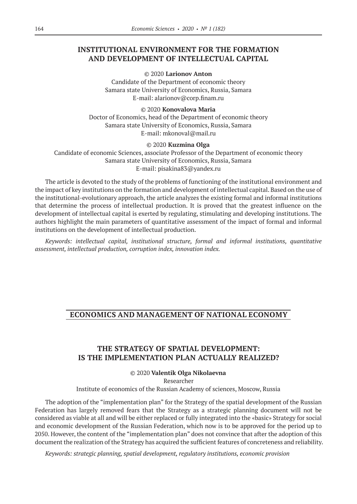# **INSTITUTIONAL ENVIRONMENT FOR THE FORMATION AND DEVELOPMENT OF INTELLECTUAL CAPITAL**

#### ©© 2020 **Larionov Anton**

Candidate of the Department of economic theory Samara state University of Economics, Russia, Samara E‑mail: alarionov@corp.finam.ru

## ©© 2020 **Konovalova Maria**

Doctor of Economics, head of the Department of economic theory Samara state University of Economics, Russia, Samara E‑mail: mkonoval@mail.ru

## ©© 2020 **Kuzmina Olga**

Candidate of economic Sciences, associate Professor of the Department of economic theory Samara state University of Economics, Russia, Samara E‑mail: pisakina83@yandex.ru

The article is devoted to the study of the problems of functioning of the institutional environment and the impact of key institutions on the formation and development of intellectual capital. Based on the use of the institutional-evolutionary approach, the article analyzes the existing formal and informal institutions that determine the process of intellectual production. It is proved that the greatest influence on the development of intellectual capital is exerted by regulating, stimulating and developing institutions. The authors highlight the main parameters of quantitative assessment of the impact of formal and informal institutions on the development of intellectual production.

*Keywords: intellectual capital, institutional structure, formal and informal institutions, quantitative assessment, intellectual production, corruption index, innovation index.*

# **ECONOMICS AND MANAGEMENT OF NATIONAL ECONOMY**

# **THE STRATEGY OF SPATIAL DEVELOPMENT: IS THE IMPLEMENTATION PLAN ACTUALLY REALIZED?**

©© 2020 **Valentik Olga Nikolaevna** Researcher Institute of economics of the Russian Academy of sciences, Moscow, Russia

The adoption of the "implementation plan" for the Strategy of the spatial development of the Russian Federation has largely removed fears that the Strategy as a strategic planning document will not be considered as viable at all and will be either replaced or fully integrated into the «basic» Strategy for social and economic development of the Russian Federation, which now is to be approved for the period up to 2050. However, the content of the "implementation plan" does not convince that after the adoption of this document the realization of the Strategy has acquired the sufficient features of concreteness and reliability.

*Keywords: strategic planning, spatial development, regulatory institutions, economic provision*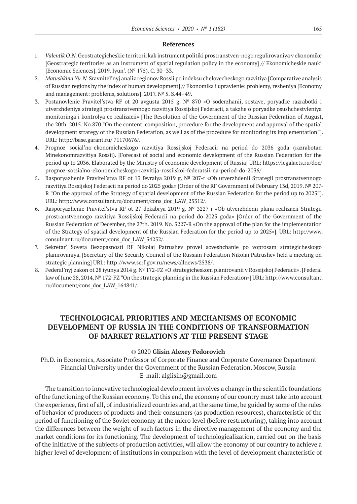## **References**

- 1. *Valentik O.N.* Geostrategicheskie territorii kak instrument politiki prostranstven-nogo regulirovaniya v ekonomike [Geostrategic territories as an instrument of spatial regulation policy in the economy] // Ekonomicheskie nauki [Economic Sciences]. 2019. Iyun'. (№ 175). C. 30–33.
- 2. *Matushkina Yu.N.* Sravnitel'nyj analiz regionov Rossii po indeksu chelovecheskogo razvitiya [Comparative analysis of Russian regions by the index of human development] // Ekonomika i upravlenie: problemy, resheniya [Economy and management: problems, solutions]. 2017. № 5. S.44–49.
- 3. Postanovlenie Pravitel'stva RF ot 20 avgusta 2015 g. № 870 «O soderzhanii, sostave, poryadke razrabotki i utverzhdeniya strategii prostranstvennogo razvitiya Rossijskoj Federacii, a takzhe o poryadke osushchestvleniya monitoringa i kontrolya ee realizacii» [The Resolution of the Government of the Russian Federation of August, the 20th. 2015. No.870 "On the content, composition, procedure for the development and approval of the spatial development strategy of the Russian Federation, as well as of the procedure for monitoring its implementation"]. URL: http://base.garant.ru/ 71170676/.
- 4. Prognoz social'no-ekonomicheskogo razvitiya Rossijskoj Federacii na period do 2036 goda (razrabotan Minekonomrazvitiya Rossii). [Forecast of social and economic development of the Russian Federation for the period up to 2036. Elaborated by the Ministry of economic development of Russia] URL: https://legalacts.ru/doc/ prognoz-sotsialno-ekonomicheskogo-razvitija-rossiiskoi-federatsii-na-period-do‑2036/
- 5. Rasporyazhenie Pravitel'stva RF ot 13 fevralya 2019 g. № 207-r «Ob utverzhdenii Strategii prostranstvennogo razvitiya Rossijskoj Federacii na period do 2025 goda» [Order of the RF Government of February 13d, 2019. № 207- R "On the approval of the Strategy of spatial development of the Russian Federation for the period up to 2025"]. URL: http://www.consultant.ru/document/cons\_doc\_LAW\_25312/.
- 6. Rasporyazhenie Pravitel'stva RF ot 27 dekabrya 2019 g. № 3227-r «Ob utverzhdenii plana realizacii Strategii prostranstvennogo razvitiya Rossijskoj Federacii na period do 2025 goda» [Order of the Government of the Russian Federation of December, the 27th. 2019. No. 3227-R «On the approval of the plan for the implementation of the Strategy of spatial development of the Russian Federation for the period up to 2025»]. URL: http://www. consulnant.ru/document/cons\_doc\_LAW\_34252/.
- 7. Sekretar' Soveta Bezopasnosti RF Nikolaj Patrushev provel soveshchanie po voprosam strategicheskogo planirovaniya. [Secretary of the Security Council of the Russian Federation Nikolai Patrushev held a meeting on strategic planning] URL: http://www.scrf.gov.ru/news/allnews/2538/.
- 8. Federal'nyj zakon ot 28 iyunya 2014 g. № 172-FZ «O strategicheskom planirovanii v Rossijskoj Federacii». [Federal law of June 28, 2014. № 172-FZ "On the strategic planning in the Russian Federation»] URL: http://www.consultant. ru/document/cons\_doc\_LAW\_164841/.

# **TECHNOLOGICAL PRIORITIES AND MECHANISMS OF ECONOMIC DEVELOPMENT OF RUSSIA IN THE CONDITIONS OF TRANSFORMATION OF MARKET RELATIONS AT THE PRESENT STAGE**

## ©© 2020 **Glisin Alexey Fedorovich**

Ph.D. in Economics, Associate Professor of Corporate Finance and Corporate Governance Department Financial University under the Government of the Russian Federation, Moscow, Russia E-mail: alglisin@gmail.com

The transition to innovative technological development involves a change in the scientific foundations of the functioning of the Russian economy. To this end, the economy of our country must take into account the experience, first of all, of industrialized countries and, at the same time, be guided by some of the rules of behavior of producers of products and their consumers (as production resources), characteristic of the period of functioning of the Soviet economy at the micro level (before restructuring), taking into account the differences between the weight of such factors in the directive management of the economy and the market conditions for its functioning. The development of technologicalization, carried out on the basis of the initiative of the subjects of production activities, will allow the economy of our country to achieve a higher level of development of institutions in comparison with the level of development characteristic of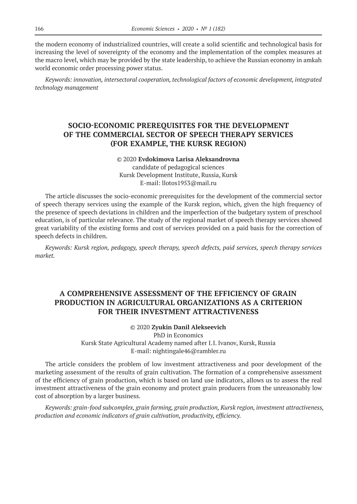the modern economy of industrialized countries, will create a solid scientific and technological basis for increasing the level of sovereignty of the economy and the implementation of the complex measures at the macro level, which may be provided by the state leadership, to achieve the Russian economy in amkah world economic order processing power status.

*Keywords: innovation, intersectoral cooperation, technological factors of economic development, integrated technology management*

# **SOCIO-ECONOMIC PREREQUISITES FOR THE DEVELOPMENT OF THE COMMERCIAL SECTOR OF SPEECH THERAPY SERVICES (FOR EXAMPLE, THE KURSK REGION)**

#### ©© 2020 **Evdokimova Larisa Aleksandrovna**

candidate of pedagogical sciences Kursk Development Institute, Russia, Kursk E‑mail: llotos1953@mail.ru

The article discusses the socio-economic prerequisites for the development of the commercial sector of speech therapy services using the example of the Kursk region, which, given the high frequency of the presence of speech deviations in children and the imperfection of the budgetary system of preschool education, is of particular relevance. The study of the regional market of speech therapy services showed great variability of the existing forms and cost of services provided on a paid basis for the correction of speech defects in children.

*Keywords: Kursk region, pedagogy, speech therapy, speech defects, paid services, speech therapy services market.*

# **A COMPREHENSIVE ASSESSMENT OF THE EFFICIENCY OF GRAIN PRODUCTION IN AGRICULTURAL ORGANIZATIONS AS A CRITERION FOR THEIR INVESTMENT ATTRACTIVENESS**

## ©© 2020 **Zyukin Danil Alekseevich**

PhD in Economics Kursk State Agricultural Academy named after I.I. Ivanov, Kursk, Russia E‑mail: nightingale46@rambler.ru

The article considers the problem of low investment attractiveness and poor development of the marketing assessment of the results of grain cultivation. The formation of a comprehensive assessment of the efficiency of grain production, which is based on land use indicators, allows us to assess the real investment attractiveness of the grain economy and protect grain producers from the unreasonably low cost of absorption by a larger business.

*Keywords: grain-food subcomplex, grain farming, grain production, Kursk region, investment attractiveness, production and economic indicators of grain cultivation, productivity, efficiency.*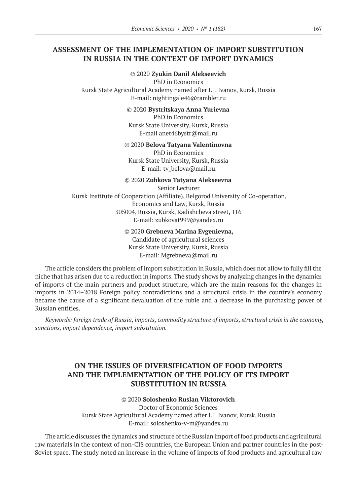# **ASSESSMENT OF THE IMPLEMENTATION OF IMPORT SUBSTITUTION IN RUSSIA IN THE CONTEXT OF IMPORT DYNAMICS**

## ©© 2020 **Zyukin Danil Alekseevich**

PhD in Economics Kursk State Agricultural Academy named after I.I. Ivanov, Kursk, Russia E‑mail: nightingale46@rambler.ru

#### ©© 2020 **Bystritskaya Anna Yurievna**

PhD in Economics Kursk State University, Kursk, Russia E‑mail anet46bystr@mail.ru

#### ©© 2020 **Belova Tatyana Valentinovna**

PhD in Economics Kursk State University, Kursk, Russia E-mail: tv\_belova@mail.ru.

## ©© 2020 **Zubkova Tatyana Alekseevna**

Senior Lecturer Kursk Institute of Cooperation (Affiliate), Belgorod University of Co-operation, Economics and Law, Kursk, Russia 305004, Russia, Kursk, Radishcheva street, 116 E‑mail: zubkovat999@yandex.ru

## ©© 2020 **Grebneva Marina Evgenievna,**

Candidate of agricultural sciences Kursk State University, Kursk, Russia E‑mail: Mgrebneva@mail.ru

The article considers the problem of import substitution in Russia, which does not allow to fully fill the niche that has arisen due to a reduction in imports. The study shows by analyzing changes in the dynamics of imports of the main partners and product structure, which are the main reasons for the changes in imports in 2014–2018 Foreign policy contradictions and a structural crisis in the country's economy became the cause of a significant devaluation of the ruble and a decrease in the purchasing power of Russian entities.

*Keywords: foreign trade of Russia, imports, commodity structure of imports, structural crisis in the economy, sanctions, import dependence, import substitution.*

# **ON THE ISSUES OF DIVERSIFICATION OF FOOD IMPORTS AND THE IMPLEMENTATION OF THE POLICY OF ITS IMPORT SUBSTITUTION IN RUSSIA**

# ©© 2020 **Soloshenko Ruslan Viktorovich**

Doctor of Economic Sciences Kursk State Agricultural Academy named after I.I. Ivanov, Kursk, Russia E‑mail: soloshenko-v-m@yandex.ru

The article discusses the dynamics and structure of the Russian import of food products and agricultural raw materials in the context of non-CIS countries, the European Union and partner countries in the post-Soviet space. The study noted an increase in the volume of imports of food products and agricultural raw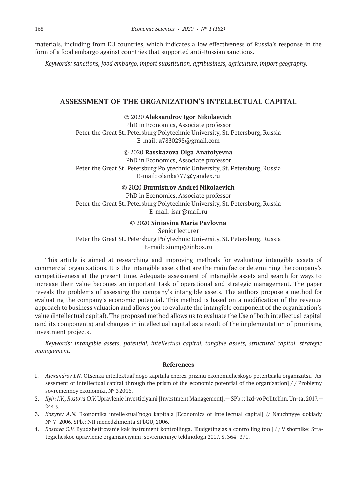materials, including from EU countries, which indicates a low effectiveness of Russia's response in the form of a food embargo against countries that supported anti-Russian sanctions.

*Keywords: sanctions, food embargo, import substitution, agribusiness, agriculture, import geography.*

# **ASSESSMENT OF THE ORGANIZATION'S INTELLECTUAL CAPITAL**

#### ©© 2020 **Aleksandrov Igor Nikolaevich**

PhD in Economics, Associate professor Peter the Great St. Petersburg Polytechnic University, St. Petersburg, Russia E‑mail: a7830298@gmail.com

#### ©© 2020 **Rasskazova Olga Anatolyevna**

PhD in Economics, Associate professor Peter the Great St. Petersburg Polytechnic University, St. Petersburg, Russia E‑mail: olanka777@yandex.ru

## ©© 2020 **Burmistrov Andrei Nikolaevich**

PhD in Economics, Associate professor Peter the Great St. Petersburg Polytechnic University, St. Petersburg, Russia E-mail: isar@mail.ru

#### ©© 2020 **Siniavina Maria Pavlovna**

Senior lecturer Peter the Great St. Petersburg Polytechnic University, St. Petersburg, Russia E‑mail: sinmp@inbox.ru

This article is aimed at researching and improving methods for evaluating intangible assets of commercial organizations. It is the intangible assets that are the main factor determining the company's competitiveness at the present time. Adequate assessment of intangible assets and search for ways to increase their value becomes an important task of operational and strategic management. The paper reveals the problems of assessing the company's intangible assets. The authors propose a method for evaluating the company's economic potential. This method is based on a modification of the revenue approach to business valuation and allows you to evaluate the intangible component of the organization's value (intellectual capital). The proposed method allows us to evaluate the Use of both intellectual capital (and its components) and changes in intellectual capital as a result of the implementation of promising investment projects.

*Keywords: intangible assets, potential, intellectual capital, tangible assets, structural capital, strategic management.*

- 1. *Alexandrov I.N.* Otsenka intellektual'nogo kapitala cherez prizmu ekonomicheskogo potentsiala organizatsii [Assessment of intellectual capital through the prism of the economic potential of the organization] / / Problemy sovremennoy ekonomiki, № 32016.
- 2. *Ilyin I.V., Rostova O.V.* Upravlenie investiciyami [Investment Management].—SPb.:: Izd-vo Politekhn. Un-ta, 2017.— 244 s.
- 3. *Kozyrev A.N.*  Ekonomika intellektual'nogo kapitala [Economics of intellectual capital] // Nauchnyye doklady № 7–2006. SPb.: NII menedzhmenta SPbGU, 2006.
- 4. *Rostova O.V.* Byudzhetirovanie kak instrument kontrollinga. [Budgeting as a controlling tool] / / V sbornike: Strategicheskoe upravlenie organizaciyami: sovremennye tekhnologii 2017. S. 364–371.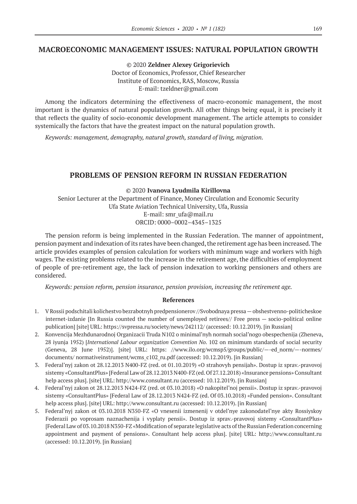# **MACROECONOMIC MANAGEMENT ISSUES: NATURAL POPULATION GROWTH**

©© 2020 **Zeldner Alexey Grigorievich** Doctor of Economics, Professor, Chief Researcher Institute of Economics, RAS, Moscow, Russia E-mail: tzeldner@gmail.com

Among the indicators determining the effectiveness of macro-economic management, the most important is the dynamics of natural population growth. All other things being equal, it is precisely it that reflects the quality of socio-economic development management. The article attempts to consider systemically the factors that have the greatest impact on the natural population growth.

*Keywords: management, demography, natural growth, standard of living, migration.*

# **PROBLEMS OF PENSION REFORM IN RUSSIAN FEDERATION**

#### ©© 2020 **Ivanova Lyudmila Kirillovna**

Senior Lecturer at the Department of Finance, Money Circulation and Economic Security Ufa State Aviation Technical University, Ufa, Russia E‑mail: smr\_ufa@mail.ru ORCID: 0000–0002–4345–1325

The pension reform is being implemented in the Russian Federation. The manner of appointment, pension payment and indexation of its rates have been changed, the retirement age has been increased. The article provides examples of pension calculation for workers with minimum wage and workers with high wages. The existing problems related to the increase in the retirement age, the difficulties of employment of people of pre-retirement age, the lack of pension indexation to working pensioners and others are considered.

*Keywords: pension reform, pension insurance, pension provision, increasing the retirement age.*

- 1. V Rossii podschitali kolichestvo bezrabotnyh predpensionerov //Svobodnaya pressa—obshestvenno-politicheskoe internet-izdanie [In Russia counted the number of unemployed retirees// Free press — socio-political online publication] [site] URL: https://svpressa.ru/society/news/242112/ (accessed: 10.12.2019). [in Russian]
- 2. Konvencija Mezhdunarodnoj Organizacii Truda N102 o minimal'nyh normah social'nogo obespechenija (Zheneva, 28 iyunja 1952) [*International Labour organization Convention No.* 102 on minimum standards of social security (Geneva, 28 June 1952)]. [site] URL: https: //www.ilo.org/wcmsp5/groups/public/—-ed\_norm/—-normes/ documents/ normativeinstrument/wcms c102 ru.pdf (accessed: 10.12.2019). [in Russian]
- 3. Federal'nyj zakon ot 28.12.2013 N400-FZ (red. ot 01.10.2019) «O strahovyh pensijah». Dostup iz sprav.-pravovoj sistemy «ConsultantPlus» [Federal Law of 28.12.2013 N400-FZ (ed. Of 27.12.2018) «Insurance pensions» Consultant help access plus]. [site] URL: http://www.consultant.ru (accessed: 10.12.2019). [in Russian]
- 4. Federal'nyj zakon ot 28.12.2013 N424-FZ (red. ot 03.10.2018) «O nakopitel'noj pensii». Dostup iz sprav.-pravovoj sistemy «ConsultantPlus» [Federal Law of 28.12.2013 N424-FZ (ed. Of 03.10.2018) «Funded pension». Consultant help access plus]. [site] URL: http://www.consultant.ru (accessed: 10.12.2019). [in Russian]
- 5. Federal'nyj zakon ot 03.10.2018 N350-FZ «O vnesenii izmenenij v otdel'nye zakonodatel'nye akty Rossiyskoy Federazii po voprosam naznachenija i vyplaty pensii». Dostup iz sprav.-pravovoj sistemy «ConsultantPlus» [Federal Law of 03.10.2018 N350-FZ «Modification of separate legislative acts of the Russian Federation concerning appointment and payment of pensions». Consultant help access plus]. [site] URL: http://www.consultant.ru (accessed: 10.12.2019). [in Russian]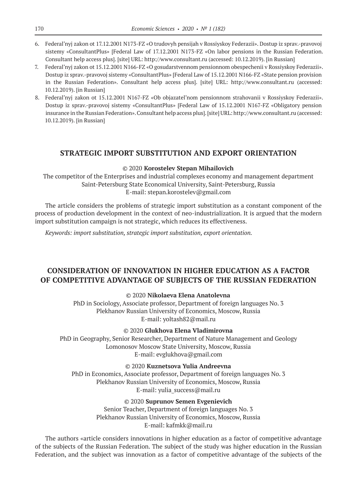- 6. Federal'nyj zakon ot 17.12.2001 N173-FZ «O trudovyh pensijah v Rossiyskoy Federazii». Dostup iz sprav.-pravovoj sistemy «ConsultantPlus» [Federal Law of 17.12.2001 N173-FZ «On labor pensions in the Russian Federation. Consultant help access plus]. [site] URL: http://www.consultant.ru (accessed: 10.12.2019). [in Russian]
- 7. Federal'nyj zakon ot 15.12.2001 N166-FZ «O gosudarstvennom pensionnom obespechenii v Rossiyskoy Federazii». Dostup iz sprav.-pravovoj sistemy «ConsultantPlus» [Federal Law of 15.12.2001 N166-FZ «State pension provision in the Russian Federation». Consultant help access plus]. [site] URL: http://www.consultant.ru (accessed: 10.12.2019). [in Russian]
- 8. Federal'nyj zakon ot 15.12.2001 N167-FZ «Ob objazatel'nom pensionnom strahovanii v Rossiyskoy Federazii». Dostup iz sprav.-pravovoj sistemy «ConsultantPlus» [Federal Law of 15.12.2001 N167-FZ «Obligatory pension insurance in the Russian Federation». Consultant help access plus]. [site] URL: http://www.consultant.ru (accessed: 10.12.2019). [in Russian]

# **STRATEGIC IMPORT SUBSTITUTION AND EXPORT ORIENTATION**

## ©© 2020 **Korostelev Stepan Mihailovich**

The competitor of the Enterprises and industrial complexes economy and management department Saint-Petersburg State Economical University, Saint-Petersburg, Russia E‑mail: stepan.korostelev@gmail.com

The article considers the problems of strategic import substitution as a constant component of the process of production development in the context of neo-industrialization. It is argued that the modern import substitution campaign is not strategic, which reduces its effectiveness.

*Keywords: import substitution, strategic import substitution, export orientation.*

# **CONSIDERATION OF INNOVATION IN HIGHER EDUCATION AS A FACTOR OF COMPETITIVE ADVANTAGE OF SUBJECTS OF THE RUSSIAN FEDERATION**

## ©© 2020 **Nikolaeva Elena Anatolevna**

PhD in Sociology, Associate professor, Department of foreign languages No. 3 Plekhanov Russian University of Economics, Moscow, Russia E-mail: yoltash82@mail.ru

## ©© 2020 **Glukhova Elena Vladimirovna**

PhD in Geography, Senior Researcher, Department of Nature Management and Geology Lomonosov Moscow State University, Moscow, Russia E‑mail: evglukhova@gmail.com

## ©© 2020 **Kuznetsova Yulia Andreevna**

PhD in Economics, Associate professor, Department of foreign languages No. 3 Plekhanov Russian University of Economics, Moscow, Russia E‑mail: yulia\_success@mail.ru

## ©© 2020 **Suprunov Semen Evgenievich**

Senior Teacher, Department of foreign languages No. 3 Plekhanov Russian University of Economics, Moscow, Russia E‑mail: kafmkk@mail.ru

The authors «article considers innovations in higher education as a factor of competitive advantage of the subjects of the Russian Federation. The subject of the study was higher education in the Russian Federation, and the subject was innovation as a factor of competitive advantage of the subjects of the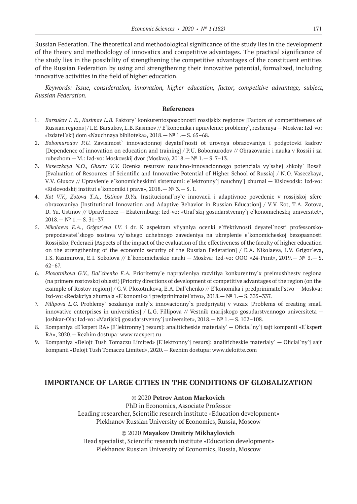Russian Federation. The theoretical and methodological significance of the study lies in the development of the theory and methodology of innovatics and competitive advantages. The practical significance of the study lies in the possibility of strengthening the competitive advantages of the constituent entities of the Russian Federation by using and strengthening their innovative potential, formalized, including innovative activities in the field of higher education.

*Keywords: Issue, consideration, innovation, higher education, factor, competitive advantage, subject, Russian Federation.*

#### **References**

- 1. *Barsukov I. E., Kasimov L.B.* Faktory` konkurentosposobnosti rossijskix regionov [Factors of competitiveness of Russian regions] / I.E. Barsukov, L.B. Kasimov // E`konomika i upravlenie: problemy`, resheniya — Moskva: Izd-vo: «Izdatel`skij dom «Nauchnaya biblioteka», 2018.— № 1.— S. 65–68.
- 2. *Bobomurodov P.U.*  Zavisimost` innovacionnoj deyatel`nosti ot urovnya obrazovaniya i podgotovki kadrov [Dependence of innovation on education and training] / P.U. Bobomurodov // Obrazovanie i nauka v Rossii i za rubezhom — M.: Izd-vo: Moskovskij dvor (Moskva), 2018.— № 1.— S. 7–13.
- 3. *Vaseczkaya N.O., Gluxov V.V.*  Ocenka resursov nauchno-innovacionnogo potenciala vy`sshej shkoly` Rossii [Evaluation of Resources of Scientific and Innovative Potential of Higher School of Russia] / N.O. Vaseczkaya, V.V. Gluxov // Upravlenie e`konomicheskimi sistemami: e`lektronny`j nauchny`j zhurnal — Kislovodsk: Izd-vo: «Kislovodskij institut e`konomiki i prava», 2018.— № 3.— S. 1.
- 4. *Kot V.V., Zotova T.A., Ustinov D.Yu.*  Institucional`ny`e innovacii i adaptivnoe povedenie v rossijskoj sfere obrazovaniya [Institutional Innovation and Adaptive Behavior in Russian Education] / V.V. Kot, T.A. Zotova, D. Yu. Ustinov // Upravlenecz — Ekaterinburg: Izd-vo: «Ural`skij gosudarstvenny`j e`konomicheskij universitet», 2018.— № 1.— S. 31–37.
- 5. *Nikolaeva E.A., Grigor`eva I.V.* i dr. K aspektam vliyaniya ocenki e`ffektivnosti deyatel`nosti professorskoprepodavatel`skogo sostava vy`sshego uchebnogo zavedeniya na ukreplenie e`konomicheskoj bezopasnosti Rossijskoj Federacii [Aspects of the impact of the evaluation of the effectiveness of the faculty of higher education on the strengthening of the economic security of the Russian Federation] / E.A. Nikolaeva, I.V. Grigor`eva, I.S. Kazimirova, E.I. Sokolova // E`konomicheskie nauki — Moskva: Izd-vo: OOO «24-Print», 2019.— № 3.— S. 62–67.
- 6. *Ploxotnikova G.V., Dal`chenko E.A.* Prioritetny`e napravleniya razvitiya konkurentny`x preimushhestv regiona (na primere rostovskoj oblasti) [Priority directions of development of competitive advantages of the region (on the example of Rostov region)] / G.V. Ploxotnikova, E.A. Dal`chenko // E`konomika i predprinimatel`stvo — Moskva: Izd-vo: «Redakciya zhurnala «E`konomika i predprinimatel`stvo», 2018.— № 1.— S. 335–337.
- 7. *Fillipova L.G.*  Problemy` sozdaniya maly`x innovacionny`x predpriyatij v vuzax [Problems of creating small innovative enterprises in universities] / L.G. Fillipova // Vestnik marijskogo gosudarstvennogo universiteta — Joshkar-Ola: Izd-vo: «Marijskij gosudarstvenny`j universitet», 2018.— № 1.— S. 102–108.
- 8. Kompaniya «E`kspert RA» [E`lektronny`j resurs]: analiticheskie materialy` Oficial`ny`j sajt kompanii «E`kspert RA», 2020.— Rezhim dostupa: www.raexpert.ru
- 9. Kompaniya «Delojt Tush Tomaczu Limited» [E`lektronny`j resurs]: analiticheskie materialy` Oficial`ny`j sajt kompanii «Delojt Tush Tomaczu Limited», 2020.— Rezhim dostupa: www.deloitte.com

# **IMPORTANCE OF LARGE CITIES IN THE CONDITIONS OF GLOBALIZATION**

## ©© 2020 **Petrov Anton Markovich**

PhD in Economics, Associate Professor Leading researcher, Scientific research institute «Education development» Plekhanov Russian University of Economics, Russia, Moscow

#### ©© 2020 **Mayakov Dmitriy Mikhaylovich**

Head specialist, Scientific research institute «Education development» Plekhanov Russian University of Economics, Russia, Moscow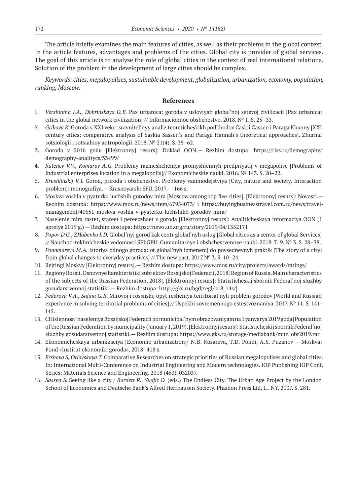The article briefly examines the main features of cities, as well as their problems in the global context. In the article features, advantages and problems of the cities. Global city is provider of global services. The goal of this article is to analyze the role of global cities in the context of real international relations. Solution of the problem in the development of large cities should be complex.

*Keywords: cities, megalopolises, sustainable development. globalization, urbanization, economy, population, ranking, Moscow.*

- 1. *Vershinina I.A., Dobrinskaya D.E.* Pax urbanica: goroda v usloviyah global'noj setevoj civilizacii [Pax urbanica: cities in the global network civilization] // Informacionnoe obshchestvo. 2018. № 1. S. 25–33.
- 2. *Gribova K.* Goroda v XXI veke: sravnitel'nyy analiz teoreticheskikh podkhodov Caskii Cassen i Paraga Khanny [XXI century cities: comparative analysis of Saskia Sassen's and Paraga Hannah's theoretical approaches]. Zhurnal sotsiologii i sotsialnoy antropologii. 2018. № 21(4). S. 38–62.
- 3. Goroda v 2016 godu [Elektronnyj resurs]: Doklad OON.— Rezhim dostupa: https://riss.ru/demography/ demography-analitycs/33499/
- 4. *Katenev V.V., Komarov A.G.*  Problemy razmeshcheniya promyshlennyh predpriyatij v megapolise [Problems of industrial enterprises location in a megalopolis]// Ekonomicheskie nauki. 2016. № 143. S. 20–22.
- 5. *Krushlinskij V.I.* Gorod, priroda i obshchestvo. Problemy vzaimodejstviya [City, nature and society. Interaction problem]: monografiya.— Krasnoyarsk: SFU, 2017.— 166 s.
- 6. Moskva voshla v pyaterku luchshih gorodov mira [Moscow among top five cities]. [Elektronnyj resurs]: Novosti.— Rezhim dostupa: https://www.mos.ru/news/item/67954073/ i https://buyingbusinesstravel.com.ru/news/travelmanagement/40651-moskva-voshla-v-pyaterku-luchshikh-gorodov-mira/
- 7. Naselenie mira rastet, stareet i pereezzhaet v goroda [Elektronnyj resurs]: Analiticheskaya informaciya OON (1 aprelya 2019 g.) — Rezhim dostupa: https://news.un.org/ru/story/2019/04/1352171
- 8. *Popov D.G.,* Z*Habenko I.D.* Global'nyj gorod kak centr global'nyh uslug [Global cities as a center of global Services] // Nauchno-tekhnicheskie vedomosti SPbGPU. Gumanitarnye i obshchestvennye nauki. 2018. T. 9. № 3. S. 28–38.
- 9. *Ponomareva M.A.* Istoriya odnogo goroda: ot global'nyh izmenenij do povsednevnyh praktik [The story of a city: from global changes to everyday practices] // The new past. 2017.№ 3. S. 10–24.
- 10. Rejtingi Moskvy [Elektronnyj resurs].— Rezhim dostupa: https://www.mos.ru/city/projects/awards/ratings/
- 11. Regiony Rossii. Osnovnye harakteristiki sub»ektov Rossijskoj Federacii, 2018 [Region of Russia. Main characteristics of the subjects of the Russian Federation, 2018]. [Elektronnyj resurs]: Statisticheskij sbornik Federal'noj sluzhby gosudarstvennoj statistiki.— Rezhim dostupa: http://gks.ru/bgd/regl/b18\_14s/].
- 12. *Fedorova V.A., Safina G.R.* Mirovoj i rossijskij opyt resheniya territorial'nyh problem gorodov [World and Russian experience in solving territorial problems of cities] // Uspekhi sovremennogo estestvoznaniya. 2017. № 11. S. 141– 145.
- 13. CHislennost' naseleniya Rossijskoj Federacii po municipal'nym obrazovaniyam na 1 yanvarya 2019 goda [Population of the Russian Federation by municipality (January 1, 2019). [Elektronnyj resurs]: Statisticheskij sbornik Federal'noj sluzhby gosudarstvennoj statistiki.— Rezhim dostupa: https://www.gks.ru/storage/mediabank/mun\_obr2019.rar
- 14. Ekonomicheskaya urbanizaciya [Economic urbanization]/ N.B. Kosareva, T.D. Polidi, A.S. Puzanov Moskva: Fond «Institut ekonomiki goroda», 2018–418 s.
- 15. *Ershova S, Orlovskaya T.* Comparative Researches on strategic priorities of Russian megalopolises and global cities. In: International Multi-Conference on Industrial Engineering and Modern technologies. IOP Publishing IOP Conf. Series: Materials Science and Engineering. 2018 (463). 032037.
- 16. *Sassen S.* Seeing like a city / *Burdett R., Sudjic D.* (eds.) The Endless City. The Urban Age Project by the London School of Economics and Deutsche Bank's Alfred Herrhausen Society. Phaidon Press Ltd, L.. NY. 2007. S. 281.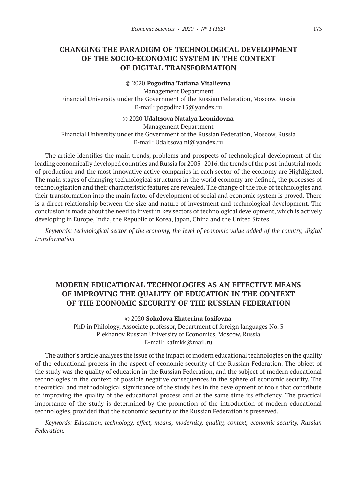# **CHANGING THE PARADIGM OF TECHNOLOGICAL DEVELOPMENT OF THE SOCIO-ECONOMIC SYSTEM IN THE CONTEXT OF DIGITAL TRANSFORMATION**

# ©© 2020 **Pogodina Tatiana Vitalievna**

Management Department

Financial University under the Government of the Russian Federation, Moscow, Russia E‑mail: pogodina15@yandex.ru

#### ©© 2020 **Udaltsova Natalya Leonidovna**

Management Department Financial University under the Government of the Russian Federation, Moscow, Russia E‑mail: Udaltsova.nl@yandex.ru

The article identifies the main trends, problems and prospects of technological development of the leading economically developed countries and Russia for 2005–2016. the trends of the post-industrial mode of production and the most innovative active companies in each sector of the economy are Highlighted. The main stages of changing technological structures in the world economy are defined, the processes of technologization and their characteristic features are revealed. The change of the role of technologies and their transformation into the main factor of development of social and economic system is proved. There is a direct relationship between the size and nature of investment and technological development. The conclusion is made about the need to invest in key sectors of technological development, which is actively developing in Europe, India, the Republic of Korea, Japan, China and the United States.

*Keywords: technological sector of the economy, the level of economic value added of the country, digital transformation*

# **MODERN EDUCATIONAL TECHNOLOGIES AS AN EFFECTIVE MEANS OF IMPROVING THE QUALITY OF EDUCATION IN THE CONTEXT OF THE ECONOMIC SECURITY OF THE RUSSIAN FEDERATION**

## ©© 2020 **Sokolova Ekaterina Iosifovna**

PhD in Philology, Associate professor, Department of foreign languages No. 3 Plekhanov Russian University of Economics, Moscow, Russia E‑mail: kafmkk@mail.ru

The author's article analyses the issue of the impact of modern educational technologies on the quality of the educational process in the aspect of economic security of the Russian Federation. The object of the study was the quality of education in the Russian Federation, and the subject of modern educational technologies in the context of possible negative consequences in the sphere of economic security. The theoretical and methodological significance of the study lies in the development of tools that contribute to improving the quality of the educational process and at the same time its efficiency. The practical importance of the study is determined by the promotion of the introduction of modern educational technologies, provided that the economic security of the Russian Federation is preserved.

*Keywords: Education, technology, effect, means, modernity, quality, context, economic security, Russian Federation.*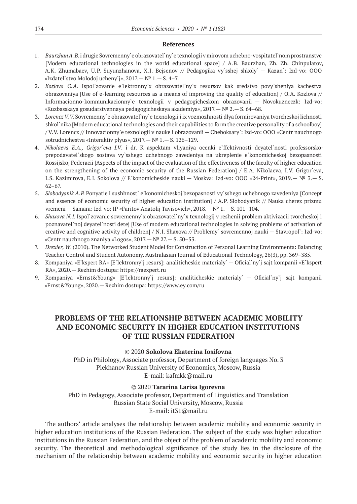## **References**

- 1. *Baurzhan A. B.* i drugie Sovremenny`e obrazovatel`ny`e texnologii v mirovom uchebno-vospitatel`nom prostranstve [Modern educational technologies in the world educational space] / A.B. Baurzhan, Zh. Zh. Chinpulatov, A.K. Zhumabaev, U.P. Suyunzhanova, X.I. Bejsenov // Pedagogika vy`sshej shkoly` — Kazan`: Izd-vo: OOO «Izdatel`stvo Molodoj ucheny`j»,  $2017 - N^{\circ}$  1. - S. 4-7.
- 2. *Kozlova O.A.*  Ispol`zovanie e`lektronny`x obrazovatel`ny`x resursov kak sredstvo povy`sheniya kachestva obrazovaniya [Use of e-learning resources as a means of improving the quality of education] / O.A. Kozlova // Informacionno-kommunikacionny`e texnologii v pedagogicheskom obrazovanii — Novokuzneczk: Izd-vo: «Kuzbasskaya gosudarstvennaya pedagogicheskaya akademiya», 2017.— № 2.— S. 64–68.
- 3. *Lorencz V.V.* Sovremenny`e obrazovatel`ny`e texnologii i ix vozmozhnosti dlya formirovaniya tvorcheskoj lichnosti shkol`nika [Modern educational technologies and their capabilities to form the creative personality of a schoolboy] / V.V. Lorencz // Innovacionny`e texnologii v nauke i obrazovanii — Cheboksary`: Izd-vo: OOO «Centr nauchnogo sotrudnichestva «Interaktiv plyus», 2017.— № 1.— S. 126–129.
- 4. *Nikolaeva E.A., Grigor`eva I.V*. i dr. K aspektam vliyaniya ocenki e`ffektivnosti deyatel`nosti professorskoprepodavatel`skogo sostava vy`sshego uchebnogo zavedeniya na ukreplenie e`konomicheskoj bezopasnosti Rossijskoj Federacii [Aspects of the impact of the evaluation of the effectiveness of the faculty of higher education on the strengthening of the economic security of the Russian Federation] / E.A. Nikolaeva, I.V. Grigor`eva, I.S. Kazimirova, E.I. Sokolova // E`konomicheskie nauki — Moskva: Izd-vo: OOO «24-Print», 2019.— № 3.— S. 62–67.
- 5. *Slobodyanik A.P.* Ponyatie i sushhnost` e`konomicheskoj bezopasnosti vy`sshego uchebnogo zavedeniya [Concept and essence of economic security of higher education institution] / A.P. Slobodyanik // Nauka cherez prizmu vremeni — Samara: Izd-vo: IP «Faritov Anatolij Tavisovich», 2018.— № 1.— S. 101–104.
- 6. *Shaxova N.I.* Ispol`zovanie sovremenny`x obrazovatel`ny`x texnologij v reshenii problem aktivizacii tvorcheskoj i poznavatel`noj deyatel`nosti detej [Use of modern educational technologies in solving problems of activation of creative and cognitive activity of children] / N.I. Shaxova // Problemy` sovremennoj nauki — Stavropol`: Izd-vo: «Centr nauchnogo znaniya «Logos», 2017.— № 27.— S. 50–53.
- 7. *Drexler, W*. (2010). The Networked Student Model for Construction of Personal Learning Environments: Balancing Teacher Control and Student Autonomy. Australasian Journal of Educational Technology, 26(3), pp. 369–385.
- 8. Kompaniya «E`kspert RA» [E`lektronny`j resurs]: analiticheskie materialy` Oficial`ny`j sajt kompanii «E`kspert RA», 2020.— Rezhim dostupa: https://raexpert.ru
- 9. Kompaniya «Ernst&Young» [E`lektronny`j resurs]: analiticheskie materialy` Oficial`ny`j sajt kompanii «Ernst&Young», 2020.— Rezhim dostupa: https://www.ey.com/ru

# **PROBLEMS OF THE RELATIONSHIP BETWEEN ACADEMIC MOBILITY AND ECONOMIC SECURITY IN HIGHER EDUCATION INSTITUTIONS OF THE RUSSIAN FEDERATION**

#### ©© 2020 **Sokolova Ekaterina Iosifovna**

PhD in Philology, Associate professor, Department of foreign languages No. 3 Plekhanov Russian University of Economics, Moscow, Russia E‑mail: kafmkk@mail.ru

## ©© 2020 **Tararina Larisa Igorevna**

PhD in Pedagogy, Associate professor, Department of Linguistics and Translation Russian State Social University, Moscow, Russia E‑mail: it31@mail.ru

The authors' article analyses the relationship between academic mobility and economic security in higher education institutions of the Russian Federation. The subject of the study was higher education institutions in the Russian Federation, and the object of the problem of academic mobility and economic security. The theoretical and methodological significance of the study lies in the disclosure of the mechanism of the relationship between academic mobility and economic security in higher education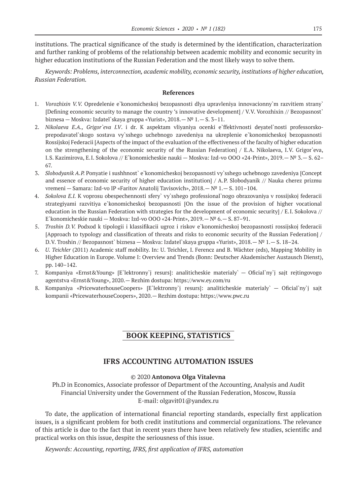institutions. The practical significance of the study is determined by the identification, characterization and further ranking of problems of the relationship between academic mobility and economic security in higher education institutions of the Russian Federation and the most likely ways to solve them.

*Keywords: Problems, interconnection, academic mobility, economic security, institutions of higher education, Russian Federation.*

#### **References**

- 1. *Vorozhixin V.V.*  Opredelenie e`konomicheskoj bezopasnosti dlya upravleniya innovacionny`m razvitiem strany` [Defining economic security to manage the country 's innovative development] / V.V. Vorozhixin // Bezopasnost` biznesa — Moskva: Izdatel`skaya gruppa «Yurist», 2018.— № 1.— S. 3–11.
- 2. *Nikolaeva E.A., Grigor`eva I.V*. i dr. K aspektam vliyaniya ocenki e`ffektivnosti deyatel`nosti professorskoprepodavatel`skogo sostava vy`sshego uchebnogo zavedeniya na ukreplenie e`konomicheskoj bezopasnosti Rossijskoj Federacii [Aspects of the impact of the evaluation of the effectiveness of the faculty of higher education on the strengthening of the economic security of the Russian Federation] / E.A. Nikolaeva, I.V. Grigor`eva, I.S. Kazimirova, E.I. Sokolova // E`konomicheskie nauki — Moskva: Izd-vo OOO «24-Print», 2019.— № 3.— S. 62– 67.
- 3. *Slobodyanik A.P.* Ponyatie i sushhnost` e`konomicheskoj bezopasnosti vy`sshego uchebnogo zavedeniya [Concept and essence of economic security of higher education institution] / A.P. Slobodyanik // Nauka cherez prizmu vremeni — Samara: Izd-vo IP «Faritov Anatolij Tavisovich», 2018.— № 1.— S. 101–104.
- 4. *Sokolova E.I.* K voprosu obespechennosti sfery` vy`sshego professional`nogo obrazovaniya v rossijskoj federacii strategiyami razvitiya e`konomicheskoj bezopasnosti [On the issue of the provision of higher vocational education in the Russian Federation with strategies for the development of economic security] / E.I. Sokolova // E`konomicheskie nauki — Moskva: Izd-vo OOO «24-Print», 2019.— № 6.— S. 87–91.
- 5. *Troshin D.V.* Podxod k tipologii i klassifikacii ugroz i riskov e`konomicheskoj bezopasnosti rossijskoj federacii [Approach to typology and classification of threats and risks to economic security of the Russian Federation] / D.V. Troshin // Bezopasnost` biznesa — Moskva: Izdatel`skaya gruppa «Yurist», 2018.— № 1.— S. 18–24.
- 6. *U. Teichler* (2011) Academic staff mobility. In: U. Teichler, I. Ferencz and B. Wächter (eds), Mapping Mobility in Higher Education in Europe. Volume I: Overview and Trends (Bonn: Deutscher Akademischer Austausch Dienst), pp. 140–142.
- 7. Kompaniya «Ernst&Young» [E`lektronny`j resurs]: analiticheskie materialy` Oficial`ny`j sajt rejtingovogo agentstva «Ernst&Young», 2020.— Rezhim dostupa: https://www.ey.com/ru
- 8. Kompaniya «PricewaterhouseCoopers» [E`lektronny`j resurs]: analiticheskie materialy` Oficial`ny`j sajt kompanii «PricewaterhouseCoopers», 2020.— Rezhim dostupa: https://www.pwc.ru

# **BOOK KEEPING, STATISTICS**

# **IFRS ACCOUNTING AUTOMATION ISSUES**

## ©© 2020 **Antonova Olga Vitalevna**

Ph.D in Economics, Associate professor of Department of the Accounting, Analysis and Audit Financial University under the Government of the Russian Federation, Moscow, Russia E‑mail: olgavit01@yandex.ru

To date, the application of international financial reporting standards, especially first application issues, is a significant problem for both credit institutions and commercial organizations. The relevance of this article is due to the fact that in recent years there have been relatively few studies, scientific and practical works on this issue, despite the seriousness of this issue.

*Keywords: Accounting, reporting, IFRS, first application of IFRS, automation*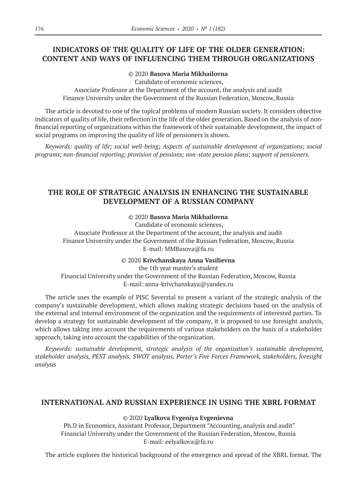# **INDICATORS OF THE QUALITY OF LIFE OF THE OLDER GENERATION: CONTENT AND WAYS OF INFLUENCING THEM THROUGH ORGANIZATIONS**

## ©© 2020 **Basova Maria Mikhailovna**

Candidate of economic sciences,

Associate Professor at the Department of the account, the analysis and audit Finance University under the Government of the Russian Federation, Moscow, Russia

The article is devoted to one of the topical problems of modern Russian society. It considers objective indicators of quality of life, their reflection in the life of the older generation. Based on the analysis of nonfinancial reporting of organizations within the framework of their sustainable development, the impact of social programs on improving the quality of life of pensioners is shown.

*Keywords: quality of life; social well-being; Aspects of sustainable development of organizations; social programs; non-financial reporting; provision of pensions; non-state pension plans; support of pensioners.*

# **THE ROLE OF STRATEGIC ANALYSIS IN ENHANCING THE SUSTAINABLE DEVELOPMENT OF A RUSSIAN COMPANY**

## ©© 2020 **Basova Maria Mikhailovna**

Candidate of economic sciences, Associate Professor at the Department of the account, the analysis and audit Finance University under the Government of the Russian Federation, Moscow, Russia E‑mail: MMBasova@fa.ru

#### ©© 2020 **Krivchanskaya Anna Vasilievna**

the 1th year master's student Financial University under the Government of the Russian Federation, Moscow, Russia E‑mail: anna-krivchanskaya@yandex.ru

The article uses the example of PJSC Severstal to present a variant of the strategic analysis of the company's sustainable development, which allows making strategic decisions based on the analysis of the external and internal environment of the organization and the requirements of interested parties. To develop a strategy for sustainable development of the company, it is proposed to use foresight analysis, which allows taking into account the requirements of various stakeholders on the basis of a stakeholder approach, taking into account the capabilities of the organization.

*Keywords: sustainable development, strategic analysis of the organization's sustainable development, stakeholder analysis, PEST analysis, SWOT analysis, Porter's Five Forces Framework, stakeholders, foresight analysis*

# **INTERNATIONAL AND RUSSIAN EXPERIENCE IN USING THE XBRL FORMAT**

#### ©© 2020 **Lyalkova Evgeniya Evgenievna**

Ph.D in Economics, Assistant Professor, Department "Accounting, analysis and audit" Financial University under the Government of the Russian Federation, Moscow, Russia E‑mail: eelyalkova@fa.ru

The article explores the historical background of the emergence and spread of the XBRL format. The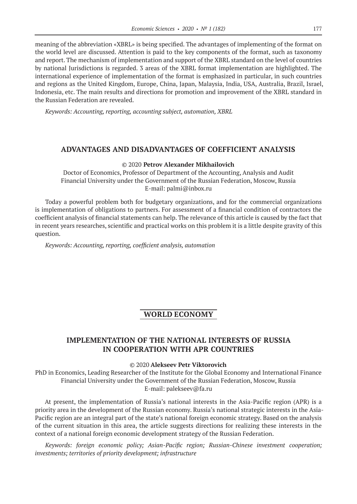meaning of the abbreviation «XBRL» is being specified. The advantages of implementing of the format on the world level are discussed. Attention is paid to the key components of the format, such as taxonomy and report. The mechanism of implementation and support of the XBRL standard on the level of countries by national Jurisdictions is regarded. 3 areas of the XBRL format implementation are highlighted. The international experience of implementation of the format is emphasized in particular, in such countries and regions as the United Kingdom, Europe, China, Japan, Malaysia, India, USA, Australia, Brazil, Israel, Indonesia, etc. The main results and directions for promotion and improvement of the XBRL standard in the Russian Federation are revealed.

*Keywords: Accounting, reporting, accounting subject, automation, XBRL*

# **ADVANTAGES AND DISADVANTAGES OF COEFFICIENT ANALYSIS**

## ©© 2020 **Petrov Alexander Mikhailovich**

Doctor of Economics, Professor of Department of the Accounting, Analysis and Audit Financial University under the Government of the Russian Federation, Moscow, Russia E-mail: palmi@inbox.ru

Today a powerful problem both for budgetary organizations, and for the commercial organizations is implementation of obligations to partners. For assessment of a financial condition of contractors the coefficient analysis of financial statements can help. The relevance of this article is caused by the fact that in recent years researches, scientific and practical works on this problem it is a little despite gravity of this question.

*Keywords: Accounting, reporting, coefficient analysis, automation*

# **WORLD ECONOMY**

# **IMPLEMENTATION OF THE NATIONAL INTERESTS OF RUSSIA IN COOPERATION WITH APR COUNTRIES**

## ©© 2020 **Alekseev Petr Viktorovich**

PhD in Economics, Leading Researcher of the Institute for the Global Economy and International Finance Financial University under the Government of the Russian Federation, Moscow, Russia E‑mail: palekseev@fa.ru

At present, the implementation of Russia's national interests in the Asia-Pacific region (APR) is a priority area in the development of the Russian economy. Russia's national strategic interests in the Asia-Pacific region are an integral part of the state's national foreign economic strategy. Based on the analysis of the current situation in this area, the article suggests directions for realizing these interests in the context of a national foreign economic development strategy of the Russian Federation.

*Keywords: foreign economic policy; Asian-Pacific region; Russian-Chinese investment cooperation; investments; territories of priority development; infrastructure*